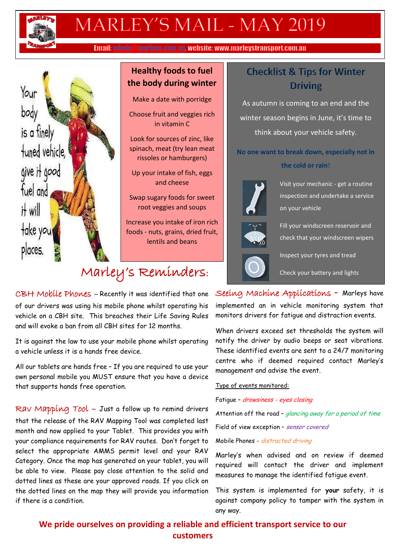

# MARLEY'S MAIL - MAY 2019

Email: admin@marleys.com.au, website: www.marleystransport.com.au



#### **Healthy foods to fuel the body during winter**

Make a date with porridge

Choose fruit and veggies rich in vitamin C

Look for sources of zinc, like spinach, meat (try lean meat rissoles or hamburgers)

Up your intake of fish, eggs and cheese

Swap sugary foods for sweet root veggies and soups

Increase you intake of iron rich foods - nuts, grains, dried fruit, lentils and beans

## Marley's Reminders :

### **Checklist & Tips for Winter Driving**

As autumn is coming to an end and the winter season begins in June, it's time to think about your vehicle safety.

**No one want to break down, especially not in the cold or rain**!



Visit your mechanic - get a routine inspection and undertake a service on your vehicle



Fill your windscreen reservoir and check that your windscreen wipers

Inspect your tyres and tread

Check your battery and lights

CBH Mobile Phones – Recently it was identified that one of our drivers was using his mobile phone whilst operating his vehicle on a CBH site. This breaches their Life Saving Rules and will evoke a ban from all CBH sites for 12 months.

It is against the law to use your mobile phone whilst operating a vehicle unless it is a hands free device.

All our tablets are hands free – If you are required to use your own personal mobile you MUST ensure that you have a device that supports hands free operation.

Rav Mapping Tool - Just a follow up to remind drivers that the release of the RAV Mapping Tool was completed last month and now applied to your Tablet. This provides you with your compliance requirements for RAV routes. Don't forget to select the appropriate AMMS permit level and your RAV Category. Once the map has generated on your tablet, you will be able to view. Please pay close attention to the solid and dotted lines as these are your approved roads. If you click on the dotted lines on the map they will provide you information if there is a condition.

Seeing Machine Applications **–** Marleys have implemented an in vehicle monitoring system that monitors drivers for fatigue and distraction events.

When drivers exceed set thresholds the system will notify the driver by audio beeps or seat vibrations. These identified events are sent to a 24/7 monitoring centre who if deemed required contact Marley's management and advise the event.

Type of events monitored:

Fatigue – drowsiness - eyes closing

Attention off the road – glancing away for a period of time

Field of view exception - sensor covered

Mobile Phones - distracted driving

Marley's when advised and on review if deemed required will contact the driver and implement measures to manage the identified fatigue event.

This system is implemented for **your** safety, it is against company policy to tamper with the system in any way.

**We pride ourselves on providing a reliable and efficient transport service to our customers**